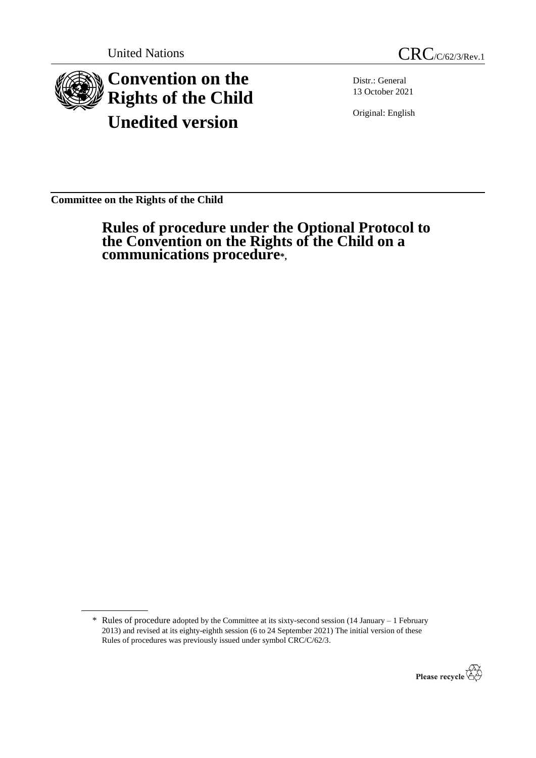



Distr.: General 13 October 2021

Original: English

**Committee on the Rights of the Child**

**Rules of procedure under the Optional Protocol to the Convention on the Rights of the Child on a communications procedure\*,**

<sup>\*</sup> Rules of procedure adopted by the Committee at its sixty-second session (14 January – 1 February 2013) and revised at its eighty-eighth session (6 to 24 September 2021) The initial version of these Rules of procedures was previously issued under symbol CRC/C/62/3.

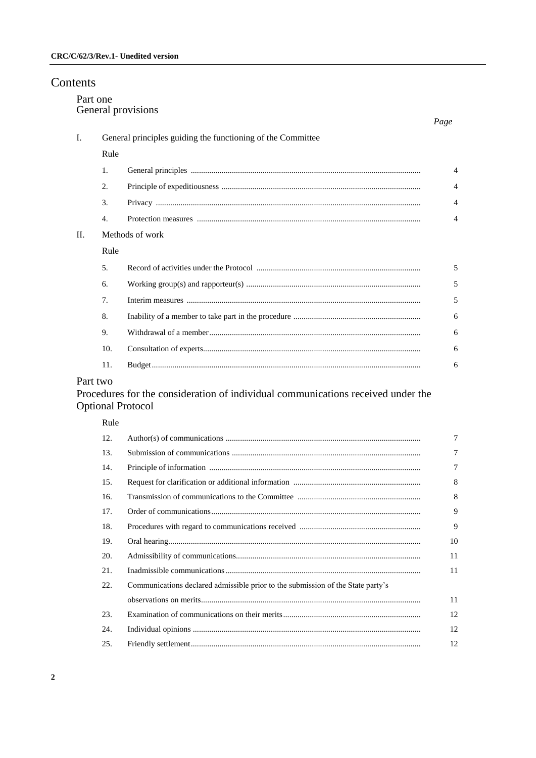| Contents |                                |                                                             |  |                |  |
|----------|--------------------------------|-------------------------------------------------------------|--|----------------|--|
|          | Part one<br>General provisions |                                                             |  |                |  |
|          | Ι.                             | General principles guiding the functioning of the Committee |  |                |  |
|          |                                | Rule                                                        |  |                |  |
|          |                                | 1.                                                          |  | $\overline{4}$ |  |
|          |                                | 2.                                                          |  | 4              |  |
|          |                                | 3.                                                          |  | 4              |  |
|          |                                | 4.                                                          |  | 4              |  |
|          | II.                            | Methods of work                                             |  |                |  |
|          |                                | Rule                                                        |  |                |  |
|          |                                | 5.                                                          |  | 5              |  |
|          |                                | 6.                                                          |  | 5              |  |
|          |                                | 7.                                                          |  | 5              |  |
|          |                                | 8.                                                          |  | 6              |  |
|          |                                | 9.                                                          |  | 6              |  |
|          |                                | 10.                                                         |  | 6              |  |
|          |                                | 11.                                                         |  | 6              |  |
|          | $\sim$ $\sim$ $\sim$           |                                                             |  |                |  |

### Part two

# Procedures for the consideration of individual communications received under the Optional Protocol

#### Rule

| 12. |                                                                                 | 7              |
|-----|---------------------------------------------------------------------------------|----------------|
| 13. |                                                                                 | $\overline{7}$ |
| 14. |                                                                                 | $\overline{7}$ |
| 15. |                                                                                 | 8              |
| 16. |                                                                                 | 8              |
| 17. |                                                                                 | 9              |
| 18. |                                                                                 | 9              |
| 19. |                                                                                 | 10             |
| 20. |                                                                                 | 11             |
| 21. |                                                                                 | 11             |
| 22. | Communications declared admissible prior to the submission of the State party's |                |
|     |                                                                                 | 11             |
| 23. |                                                                                 | 12             |
| 24. |                                                                                 | 12             |
| 25. |                                                                                 | 12             |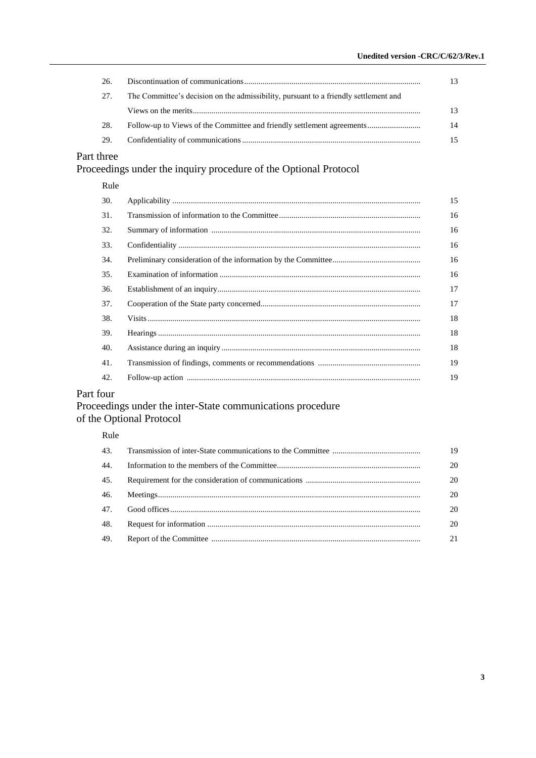| -26. |                                                                                      | 13 |
|------|--------------------------------------------------------------------------------------|----|
| 27.  | The Committee's decision on the admissibility, pursuant to a friendly settlement and |    |
|      |                                                                                      | 13 |
| 28.  | Follow-up to Views of the Committee and friendly settlement agreements               | 14 |
| 29.  |                                                                                      | 15 |

# Part three

# Proceedings under the inquiry procedure of the Optional Protocol

## Rule

| 30. | 15 |
|-----|----|
| 31. | 16 |
| 32. | 16 |
| 33. | 16 |
| 34. | 16 |
| 35. | 16 |
| 36. | 17 |
| 37. | 17 |
| 38. | 18 |
| 39. | 18 |
| 40. | 18 |
| 41. | 19 |
| 42. | 19 |
|     |    |

# Part four

# Proceedings under the inter-State communications procedure of the Optional Protocol

### Rule

|     | 19 |
|-----|----|
| 44. | 20 |
| 45. | 20 |
|     | 20 |
|     | 20 |
| 48. | 20 |
| 49. | 21 |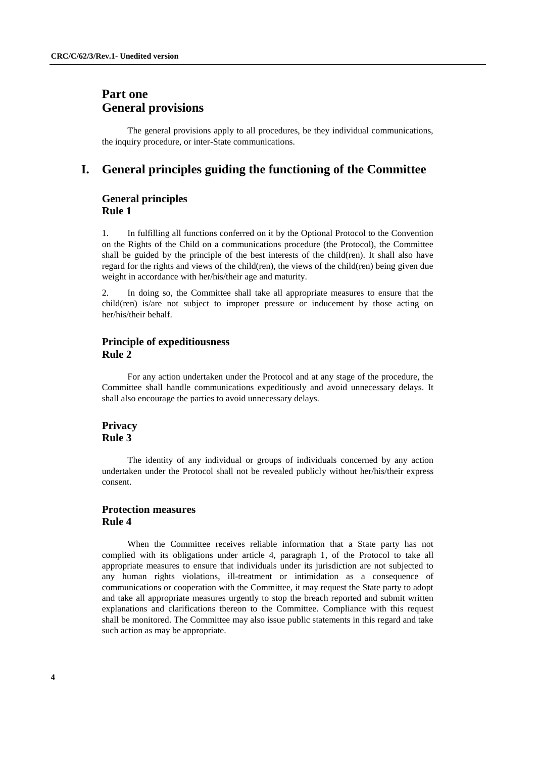# **Part one General provisions**

The general provisions apply to all procedures, be they individual communications, the inquiry procedure, or inter-State communications.

### **I. General principles guiding the functioning of the Committee**

### **General principles Rule 1**

1. In fulfilling all functions conferred on it by the Optional Protocol to the Convention on the Rights of the Child on a communications procedure (the Protocol), the Committee shall be guided by the principle of the best interests of the child(ren). It shall also have regard for the rights and views of the child(ren), the views of the child(ren) being given due weight in accordance with her/his/their age and maturity.

2. In doing so, the Committee shall take all appropriate measures to ensure that the child(ren) is/are not subject to improper pressure or inducement by those acting on her/his/their behalf.

### **Principle of expeditiousness Rule 2**

For any action undertaken under the Protocol and at any stage of the procedure, the Committee shall handle communications expeditiously and avoid unnecessary delays. It shall also encourage the parties to avoid unnecessary delays.

### **Privacy Rule 3**

The identity of any individual or groups of individuals concerned by any action undertaken under the Protocol shall not be revealed publicly without her/his/their express consent.

### **Protection measures Rule 4**

When the Committee receives reliable information that a State party has not complied with its obligations under article 4, paragraph 1, of the Protocol to take all appropriate measures to ensure that individuals under its jurisdiction are not subjected to any human rights violations, ill-treatment or intimidation as a consequence of communications or cooperation with the Committee, it may request the State party to adopt and take all appropriate measures urgently to stop the breach reported and submit written explanations and clarifications thereon to the Committee. Compliance with this request shall be monitored. The Committee may also issue public statements in this regard and take such action as may be appropriate.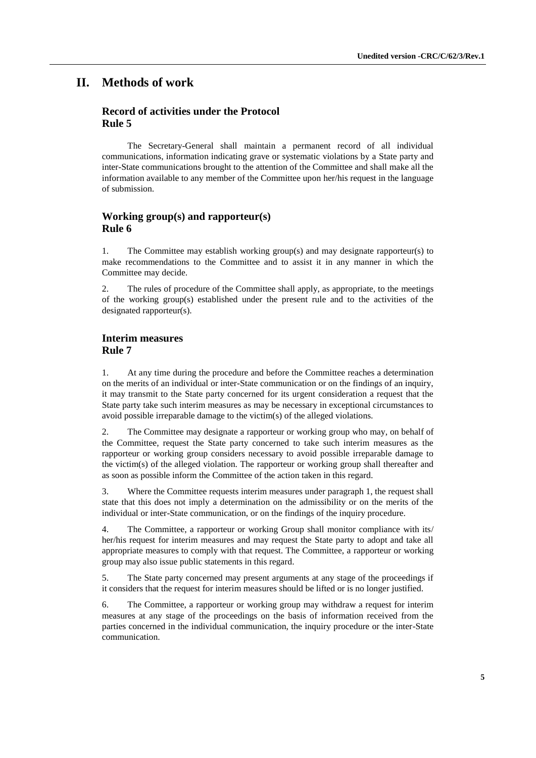### **II. Methods of work**

### **Record of activities under the Protocol Rule 5**

The Secretary-General shall maintain a permanent record of all individual communications, information indicating grave or systematic violations by a State party and inter-State communications brought to the attention of the Committee and shall make all the information available to any member of the Committee upon her/his request in the language of submission.

### **Working group(s) and rapporteur(s) Rule 6**

1. The Committee may establish working group(s) and may designate rapporteur(s) to make recommendations to the Committee and to assist it in any manner in which the Committee may decide.

2. The rules of procedure of the Committee shall apply, as appropriate, to the meetings of the working group(s) established under the present rule and to the activities of the designated rapporteur(s).

#### **Interim measures Rule 7**

1. At any time during the procedure and before the Committee reaches a determination on the merits of an individual or inter-State communication or on the findings of an inquiry, it may transmit to the State party concerned for its urgent consideration a request that the State party take such interim measures as may be necessary in exceptional circumstances to avoid possible irreparable damage to the victim(s) of the alleged violations.

2. The Committee may designate a rapporteur or working group who may, on behalf of the Committee, request the State party concerned to take such interim measures as the rapporteur or working group considers necessary to avoid possible irreparable damage to the victim(s) of the alleged violation. The rapporteur or working group shall thereafter and as soon as possible inform the Committee of the action taken in this regard.

3. Where the Committee requests interim measures under paragraph 1, the request shall state that this does not imply a determination on the admissibility or on the merits of the individual or inter-State communication, or on the findings of the inquiry procedure.

4. The Committee, a rapporteur or working Group shall monitor compliance with its/ her/his request for interim measures and may request the State party to adopt and take all appropriate measures to comply with that request. The Committee, a rapporteur or working group may also issue public statements in this regard.

5. The State party concerned may present arguments at any stage of the proceedings if it considers that the request for interim measures should be lifted or is no longer justified.

6. The Committee, a rapporteur or working group may withdraw a request for interim measures at any stage of the proceedings on the basis of information received from the parties concerned in the individual communication, the inquiry procedure or the inter-State communication.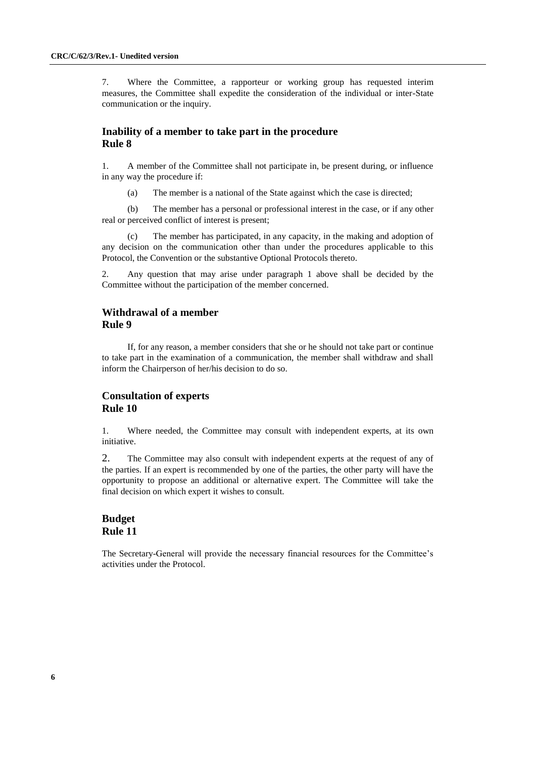7. Where the Committee, a rapporteur or working group has requested interim measures, the Committee shall expedite the consideration of the individual or inter-State communication or the inquiry.

### **Inability of a member to take part in the procedure Rule 8**

1. A member of the Committee shall not participate in, be present during, or influence in any way the procedure if:

(a) The member is a national of the State against which the case is directed;

(b) The member has a personal or professional interest in the case, or if any other real or perceived conflict of interest is present;

(c) The member has participated, in any capacity, in the making and adoption of any decision on the communication other than under the procedures applicable to this Protocol, the Convention or the substantive Optional Protocols thereto.

2. Any question that may arise under paragraph 1 above shall be decided by the Committee without the participation of the member concerned.

### **Withdrawal of a member Rule 9**

If, for any reason, a member considers that she or he should not take part or continue to take part in the examination of a communication, the member shall withdraw and shall inform the Chairperson of her/his decision to do so.

### **Consultation of experts Rule 10**

1. Where needed, the Committee may consult with independent experts, at its own initiative.

2. The Committee may also consult with independent experts at the request of any of the parties. If an expert is recommended by one of the parties, the other party will have the opportunity to propose an additional or alternative expert. The Committee will take the final decision on which expert it wishes to consult.

### **Budget Rule 11**

The Secretary-General will provide the necessary financial resources for the Committee's activities under the Protocol.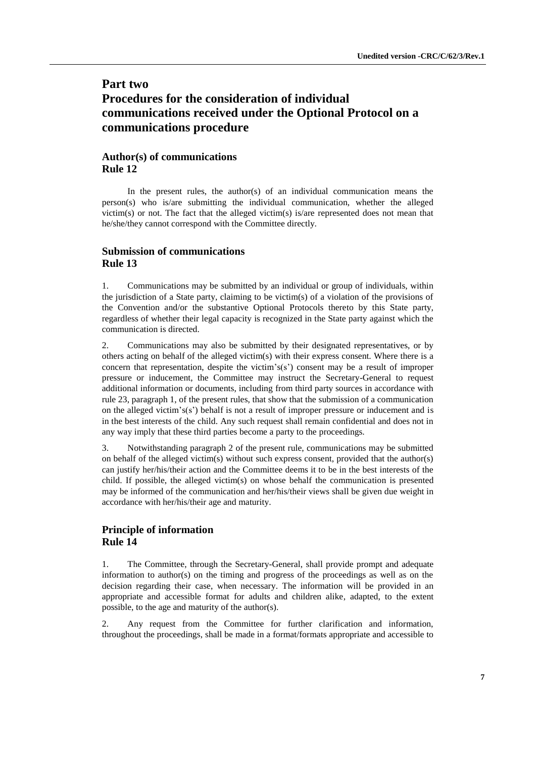# **Part two Procedures for the consideration of individual communications received under the Optional Protocol on a communications procedure**

### **Author(s) of communications Rule 12**

In the present rules, the author(s) of an individual communication means the person(s) who is/are submitting the individual communication, whether the alleged victim(s) or not. The fact that the alleged victim(s) is/are represented does not mean that he/she/they cannot correspond with the Committee directly.

### **Submission of communications Rule 13**

1. Communications may be submitted by an individual or group of individuals, within the jurisdiction of a State party, claiming to be victim(s) of a violation of the provisions of the Convention and/or the substantive Optional Protocols thereto by this State party, regardless of whether their legal capacity is recognized in the State party against which the communication is directed.

2. Communications may also be submitted by their designated representatives, or by others acting on behalf of the alleged victim(s) with their express consent. Where there is a concern that representation, despite the victim's(s') consent may be a result of improper pressure or inducement, the Committee may instruct the Secretary-General to request additional information or documents, including from third party sources in accordance with rule 23, paragraph 1, of the present rules, that show that the submission of a communication on the alleged victim's(s') behalf is not a result of improper pressure or inducement and is in the best interests of the child. Any such request shall remain confidential and does not in any way imply that these third parties become a party to the proceedings.

3. Notwithstanding paragraph 2 of the present rule, communications may be submitted on behalf of the alleged victim(s) without such express consent, provided that the author(s) can justify her/his/their action and the Committee deems it to be in the best interests of the child. If possible, the alleged victim(s) on whose behalf the communication is presented may be informed of the communication and her/his/their views shall be given due weight in accordance with her/his/their age and maturity.

### **Principle of information Rule 14**

1. The Committee, through the Secretary-General, shall provide prompt and adequate information to author(s) on the timing and progress of the proceedings as well as on the decision regarding their case, when necessary. The information will be provided in an appropriate and accessible format for adults and children alike, adapted, to the extent possible, to the age and maturity of the author(s).

2. Any request from the Committee for further clarification and information, throughout the proceedings, shall be made in a format/formats appropriate and accessible to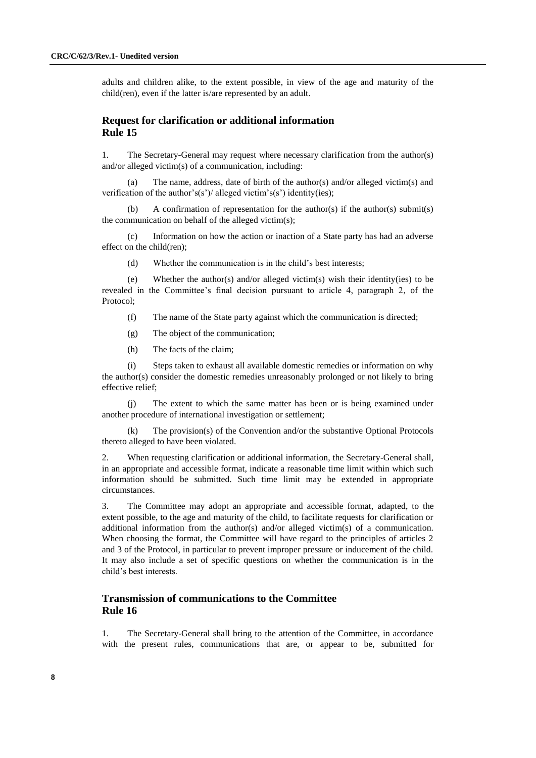adults and children alike, to the extent possible, in view of the age and maturity of the child(ren), even if the latter is/are represented by an adult.

### **Request for clarification or additional information Rule 15**

1. The Secretary-General may request where necessary clarification from the author(s) and/or alleged victim(s) of a communication, including:

(a) The name, address, date of birth of the author(s) and/or alleged victim(s) and verification of the author's(s')/ alleged victim's(s') identity(ies);

(b) A confirmation of representation for the author(s) if the author(s) submit(s) the communication on behalf of the alleged victim(s);

(c) Information on how the action or inaction of a State party has had an adverse effect on the child(ren);

(d) Whether the communication is in the child's best interests;

(e) Whether the author(s) and/or alleged victim(s) wish their identity(ies) to be revealed in the Committee's final decision pursuant to article 4, paragraph 2, of the Protocol;

- (f) The name of the State party against which the communication is directed;
- (g) The object of the communication;
- (h) The facts of the claim;

(i) Steps taken to exhaust all available domestic remedies or information on why the author(s) consider the domestic remedies unreasonably prolonged or not likely to bring effective relief;

The extent to which the same matter has been or is being examined under another procedure of international investigation or settlement;

(k) The provision(s) of the Convention and/or the substantive Optional Protocols thereto alleged to have been violated.

2. When requesting clarification or additional information, the Secretary-General shall, in an appropriate and accessible format, indicate a reasonable time limit within which such information should be submitted. Such time limit may be extended in appropriate circumstances.

3. The Committee may adopt an appropriate and accessible format, adapted, to the extent possible, to the age and maturity of the child, to facilitate requests for clarification or additional information from the author(s) and/or alleged victim(s) of a communication. When choosing the format, the Committee will have regard to the principles of articles 2 and 3 of the Protocol, in particular to prevent improper pressure or inducement of the child. It may also include a set of specific questions on whether the communication is in the child's best interests.

### **Transmission of communications to the Committee Rule 16**

1. The Secretary-General shall bring to the attention of the Committee, in accordance with the present rules, communications that are, or appear to be, submitted for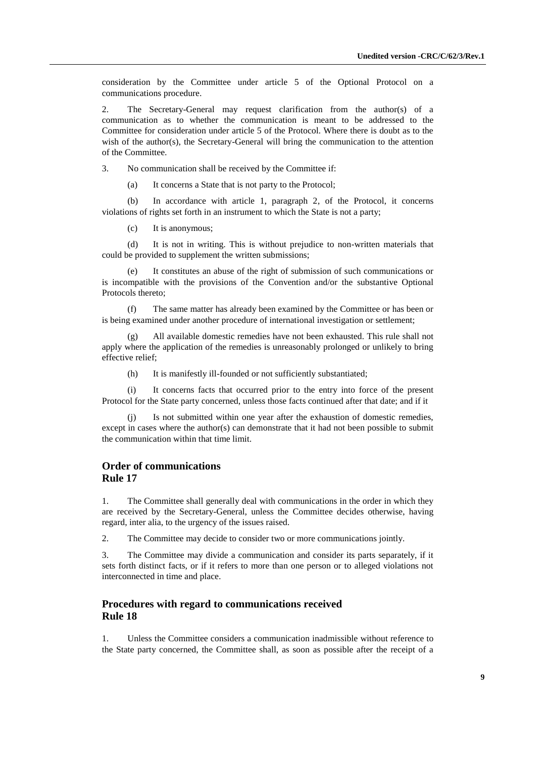consideration by the Committee under article 5 of the Optional Protocol on a communications procedure.

2. The Secretary-General may request clarification from the author(s) of a communication as to whether the communication is meant to be addressed to the Committee for consideration under article 5 of the Protocol. Where there is doubt as to the wish of the author(s), the Secretary-General will bring the communication to the attention of the Committee.

3. No communication shall be received by the Committee if:

(a) It concerns a State that is not party to the Protocol;

(b) In accordance with article 1, paragraph 2, of the Protocol, it concerns violations of rights set forth in an instrument to which the State is not a party;

(c) It is anonymous;

(d) It is not in writing. This is without prejudice to non-written materials that could be provided to supplement the written submissions;

It constitutes an abuse of the right of submission of such communications or is incompatible with the provisions of the Convention and/or the substantive Optional Protocols thereto;

(f) The same matter has already been examined by the Committee or has been or is being examined under another procedure of international investigation or settlement;

All available domestic remedies have not been exhausted. This rule shall not apply where the application of the remedies is unreasonably prolonged or unlikely to bring effective relief;

(h) It is manifestly ill-founded or not sufficiently substantiated;

(i) It concerns facts that occurred prior to the entry into force of the present Protocol for the State party concerned, unless those facts continued after that date; and if it

Is not submitted within one year after the exhaustion of domestic remedies, except in cases where the author(s) can demonstrate that it had not been possible to submit the communication within that time limit.

### **Order of communications Rule 17**

1. The Committee shall generally deal with communications in the order in which they are received by the Secretary-General, unless the Committee decides otherwise, having regard, inter alia, to the urgency of the issues raised.

2. The Committee may decide to consider two or more communications jointly.

3. The Committee may divide a communication and consider its parts separately, if it sets forth distinct facts, or if it refers to more than one person or to alleged violations not interconnected in time and place.

#### **Procedures with regard to communications received Rule 18**

1. Unless the Committee considers a communication inadmissible without reference to the State party concerned, the Committee shall, as soon as possible after the receipt of a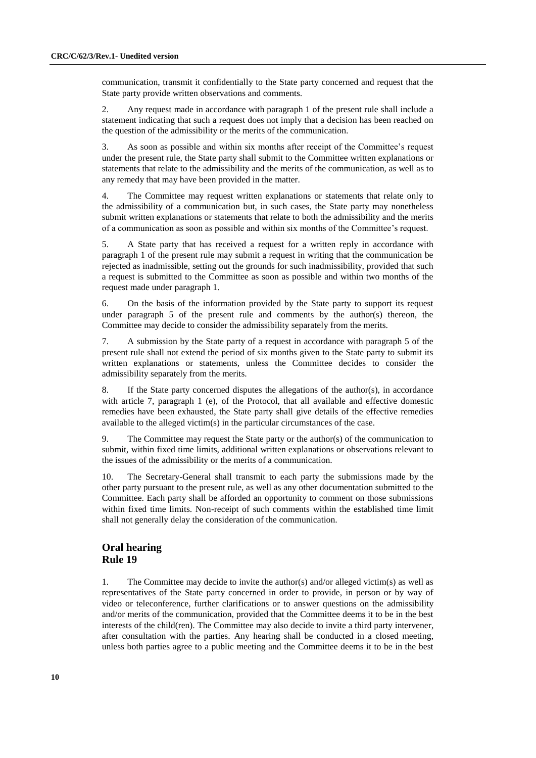communication, transmit it confidentially to the State party concerned and request that the State party provide written observations and comments.

2. Any request made in accordance with paragraph 1 of the present rule shall include a statement indicating that such a request does not imply that a decision has been reached on the question of the admissibility or the merits of the communication.

3. As soon as possible and within six months after receipt of the Committee's request under the present rule, the State party shall submit to the Committee written explanations or statements that relate to the admissibility and the merits of the communication, as well as to any remedy that may have been provided in the matter.

4. The Committee may request written explanations or statements that relate only to the admissibility of a communication but, in such cases, the State party may nonetheless submit written explanations or statements that relate to both the admissibility and the merits of a communication as soon as possible and within six months of the Committee's request.

5. A State party that has received a request for a written reply in accordance with paragraph 1 of the present rule may submit a request in writing that the communication be rejected as inadmissible, setting out the grounds for such inadmissibility, provided that such a request is submitted to the Committee as soon as possible and within two months of the request made under paragraph 1.

6. On the basis of the information provided by the State party to support its request under paragraph 5 of the present rule and comments by the author(s) thereon, the Committee may decide to consider the admissibility separately from the merits.

7. A submission by the State party of a request in accordance with paragraph 5 of the present rule shall not extend the period of six months given to the State party to submit its written explanations or statements, unless the Committee decides to consider the admissibility separately from the merits.

8. If the State party concerned disputes the allegations of the author(s), in accordance with article 7, paragraph 1 (e), of the Protocol, that all available and effective domestic remedies have been exhausted, the State party shall give details of the effective remedies available to the alleged victim(s) in the particular circumstances of the case.

9. The Committee may request the State party or the author(s) of the communication to submit, within fixed time limits, additional written explanations or observations relevant to the issues of the admissibility or the merits of a communication.

10. The Secretary-General shall transmit to each party the submissions made by the other party pursuant to the present rule, as well as any other documentation submitted to the Committee. Each party shall be afforded an opportunity to comment on those submissions within fixed time limits. Non-receipt of such comments within the established time limit shall not generally delay the consideration of the communication.

### **Oral hearing Rule 19**

1. The Committee may decide to invite the author(s) and/or alleged victim(s) as well as representatives of the State party concerned in order to provide, in person or by way of video or teleconference, further clarifications or to answer questions on the admissibility and/or merits of the communication, provided that the Committee deems it to be in the best interests of the child(ren). The Committee may also decide to invite a third party intervener, after consultation with the parties. Any hearing shall be conducted in a closed meeting, unless both parties agree to a public meeting and the Committee deems it to be in the best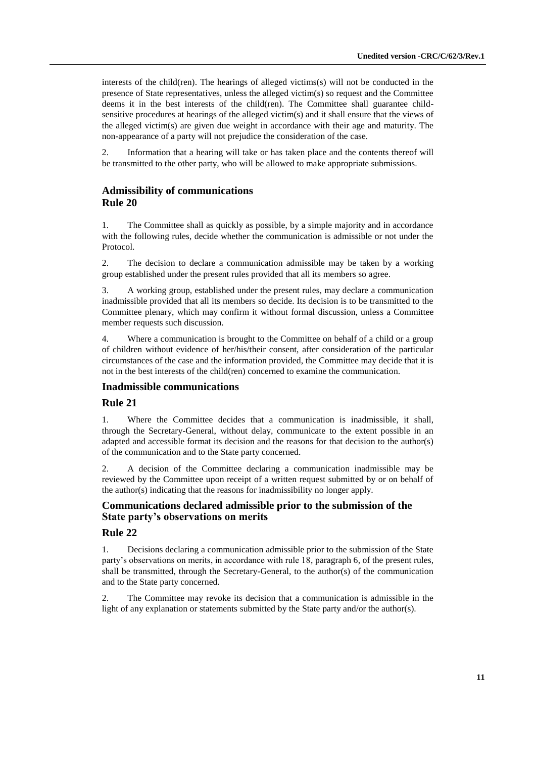interests of the child(ren). The hearings of alleged victims(s) will not be conducted in the presence of State representatives, unless the alleged victim(s) so request and the Committee deems it in the best interests of the child(ren). The Committee shall guarantee childsensitive procedures at hearings of the alleged victim(s) and it shall ensure that the views of the alleged victim(s) are given due weight in accordance with their age and maturity. The non-appearance of a party will not prejudice the consideration of the case.

2. Information that a hearing will take or has taken place and the contents thereof will be transmitted to the other party, who will be allowed to make appropriate submissions.

### **Admissibility of communications Rule 20**

1. The Committee shall as quickly as possible, by a simple majority and in accordance with the following rules, decide whether the communication is admissible or not under the Protocol.

2. The decision to declare a communication admissible may be taken by a working group established under the present rules provided that all its members so agree.

3. A working group, established under the present rules, may declare a communication inadmissible provided that all its members so decide. Its decision is to be transmitted to the Committee plenary, which may confirm it without formal discussion, unless a Committee member requests such discussion.

4. Where a communication is brought to the Committee on behalf of a child or a group of children without evidence of her/his/their consent, after consideration of the particular circumstances of the case and the information provided, the Committee may decide that it is not in the best interests of the child(ren) concerned to examine the communication.

#### **Inadmissible communications**

#### **Rule 21**

1. Where the Committee decides that a communication is inadmissible, it shall, through the Secretary-General, without delay, communicate to the extent possible in an adapted and accessible format its decision and the reasons for that decision to the author(s) of the communication and to the State party concerned.

2. A decision of the Committee declaring a communication inadmissible may be reviewed by the Committee upon receipt of a written request submitted by or on behalf of the author(s) indicating that the reasons for inadmissibility no longer apply.

### **Communications declared admissible prior to the submission of the State party's observations on merits**

#### **Rule 22**

1. Decisions declaring a communication admissible prior to the submission of the State party's observations on merits, in accordance with rule 18, paragraph 6, of the present rules, shall be transmitted, through the Secretary-General, to the author(s) of the communication and to the State party concerned.

2. The Committee may revoke its decision that a communication is admissible in the light of any explanation or statements submitted by the State party and/or the author(s).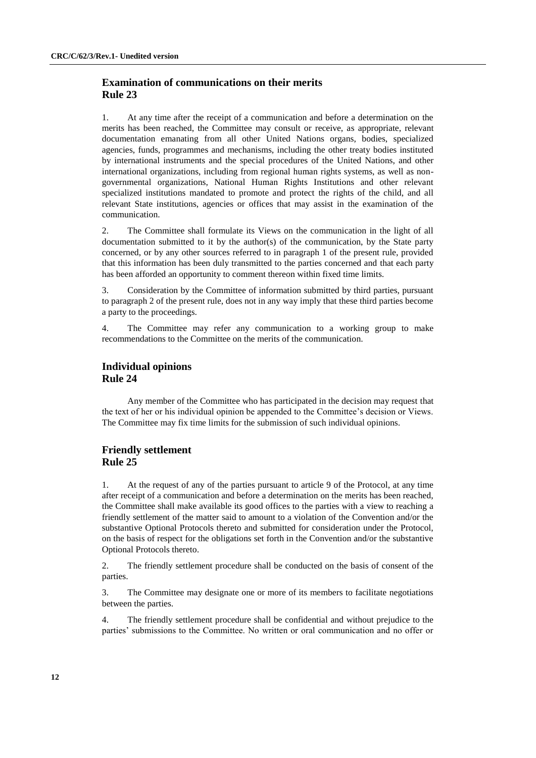### **Examination of communications on their merits Rule 23**

1. At any time after the receipt of a communication and before a determination on the merits has been reached, the Committee may consult or receive, as appropriate, relevant documentation emanating from all other United Nations organs, bodies, specialized agencies, funds, programmes and mechanisms, including the other treaty bodies instituted by international instruments and the special procedures of the United Nations, and other international organizations, including from regional human rights systems, as well as nongovernmental organizations, National Human Rights Institutions and other relevant specialized institutions mandated to promote and protect the rights of the child, and all relevant State institutions, agencies or offices that may assist in the examination of the communication.

2. The Committee shall formulate its Views on the communication in the light of all documentation submitted to it by the author(s) of the communication, by the State party concerned, or by any other sources referred to in paragraph 1 of the present rule, provided that this information has been duly transmitted to the parties concerned and that each party has been afforded an opportunity to comment thereon within fixed time limits.

3. Consideration by the Committee of information submitted by third parties, pursuant to paragraph 2 of the present rule, does not in any way imply that these third parties become a party to the proceedings.

4. The Committee may refer any communication to a working group to make recommendations to the Committee on the merits of the communication.

#### **Individual opinions Rule 24**

Any member of the Committee who has participated in the decision may request that the text of her or his individual opinion be appended to the Committee's decision or Views. The Committee may fix time limits for the submission of such individual opinions.

### **Friendly settlement Rule 25**

1. At the request of any of the parties pursuant to article 9 of the Protocol, at any time after receipt of a communication and before a determination on the merits has been reached, the Committee shall make available its good offices to the parties with a view to reaching a friendly settlement of the matter said to amount to a violation of the Convention and/or the substantive Optional Protocols thereto and submitted for consideration under the Protocol, on the basis of respect for the obligations set forth in the Convention and/or the substantive Optional Protocols thereto.

2. The friendly settlement procedure shall be conducted on the basis of consent of the parties.

3. The Committee may designate one or more of its members to facilitate negotiations between the parties.

4. The friendly settlement procedure shall be confidential and without prejudice to the parties' submissions to the Committee. No written or oral communication and no offer or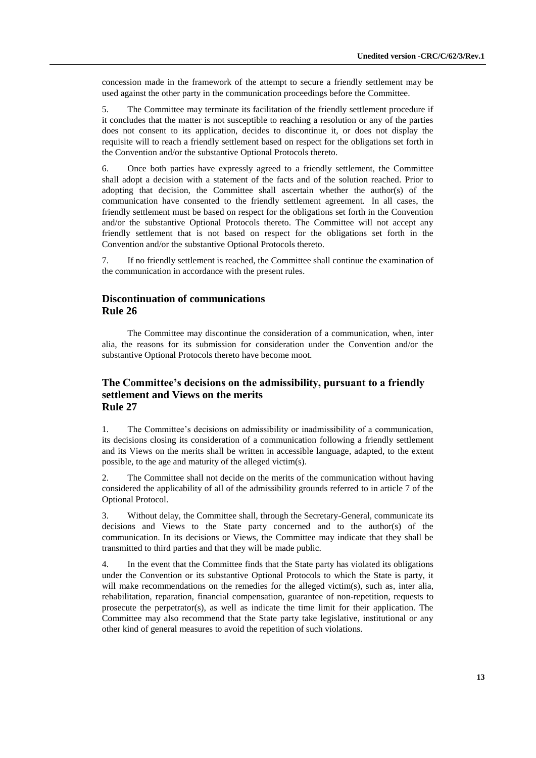concession made in the framework of the attempt to secure a friendly settlement may be used against the other party in the communication proceedings before the Committee.

5. The Committee may terminate its facilitation of the friendly settlement procedure if it concludes that the matter is not susceptible to reaching a resolution or any of the parties does not consent to its application, decides to discontinue it, or does not display the requisite will to reach a friendly settlement based on respect for the obligations set forth in the Convention and/or the substantive Optional Protocols thereto.

6. Once both parties have expressly agreed to a friendly settlement, the Committee shall adopt a decision with a statement of the facts and of the solution reached. Prior to adopting that decision, the Committee shall ascertain whether the author(s) of the communication have consented to the friendly settlement agreement. In all cases, the friendly settlement must be based on respect for the obligations set forth in the Convention and/or the substantive Optional Protocols thereto. The Committee will not accept any friendly settlement that is not based on respect for the obligations set forth in the Convention and/or the substantive Optional Protocols thereto.

7. If no friendly settlement is reached, the Committee shall continue the examination of the communication in accordance with the present rules.

### **Discontinuation of communications Rule 26**

The Committee may discontinue the consideration of a communication, when, inter alia, the reasons for its submission for consideration under the Convention and/or the substantive Optional Protocols thereto have become moot.

### **The Committee's decisions on the admissibility, pursuant to a friendly settlement and Views on the merits Rule 27**

1. The Committee's decisions on admissibility or inadmissibility of a communication, its decisions closing its consideration of a communication following a friendly settlement and its Views on the merits shall be written in accessible language, adapted, to the extent possible, to the age and maturity of the alleged victim(s).

2. The Committee shall not decide on the merits of the communication without having considered the applicability of all of the admissibility grounds referred to in article 7 of the Optional Protocol.

3. Without delay, the Committee shall, through the Secretary-General, communicate its decisions and Views to the State party concerned and to the author(s) of the communication. In its decisions or Views, the Committee may indicate that they shall be transmitted to third parties and that they will be made public.

4. In the event that the Committee finds that the State party has violated its obligations under the Convention or its substantive Optional Protocols to which the State is party, it will make recommendations on the remedies for the alleged victim(s), such as, inter alia, rehabilitation, reparation, financial compensation, guarantee of non-repetition, requests to prosecute the perpetrator(s), as well as indicate the time limit for their application. The Committee may also recommend that the State party take legislative, institutional or any other kind of general measures to avoid the repetition of such violations.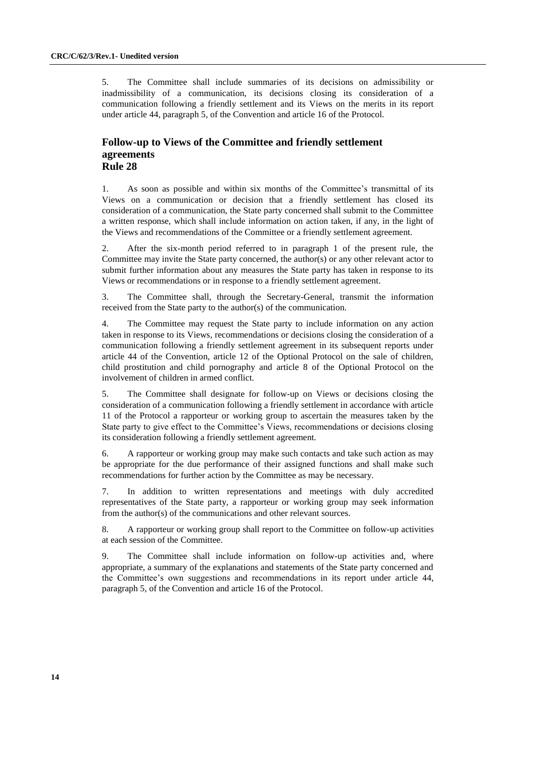5. The Committee shall include summaries of its decisions on admissibility or inadmissibility of a communication, its decisions closing its consideration of a communication following a friendly settlement and its Views on the merits in its report under article 44, paragraph 5, of the Convention and article 16 of the Protocol.

### **Follow-up to Views of the Committee and friendly settlement agreements Rule 28**

1. As soon as possible and within six months of the Committee's transmittal of its Views on a communication or decision that a friendly settlement has closed its consideration of a communication, the State party concerned shall submit to the Committee a written response, which shall include information on action taken, if any, in the light of the Views and recommendations of the Committee or a friendly settlement agreement.

2. After the six-month period referred to in paragraph 1 of the present rule, the Committee may invite the State party concerned, the author(s) or any other relevant actor to submit further information about any measures the State party has taken in response to its Views or recommendations or in response to a friendly settlement agreement.

3. The Committee shall, through the Secretary-General, transmit the information received from the State party to the author(s) of the communication.

4. The Committee may request the State party to include information on any action taken in response to its Views, recommendations or decisions closing the consideration of a communication following a friendly settlement agreement in its subsequent reports under article 44 of the Convention, article 12 of the Optional Protocol on the sale of children, child prostitution and child pornography and article 8 of the Optional Protocol on the involvement of children in armed conflict.

5. The Committee shall designate for follow-up on Views or decisions closing the consideration of a communication following a friendly settlement in accordance with article 11 of the Protocol a rapporteur or working group to ascertain the measures taken by the State party to give effect to the Committee's Views, recommendations or decisions closing its consideration following a friendly settlement agreement.

6. A rapporteur or working group may make such contacts and take such action as may be appropriate for the due performance of their assigned functions and shall make such recommendations for further action by the Committee as may be necessary.

7. In addition to written representations and meetings with duly accredited representatives of the State party, a rapporteur or working group may seek information from the author(s) of the communications and other relevant sources.

8. A rapporteur or working group shall report to the Committee on follow-up activities at each session of the Committee.

9. The Committee shall include information on follow-up activities and, where appropriate, a summary of the explanations and statements of the State party concerned and the Committee's own suggestions and recommendations in its report under article 44, paragraph 5, of the Convention and article 16 of the Protocol.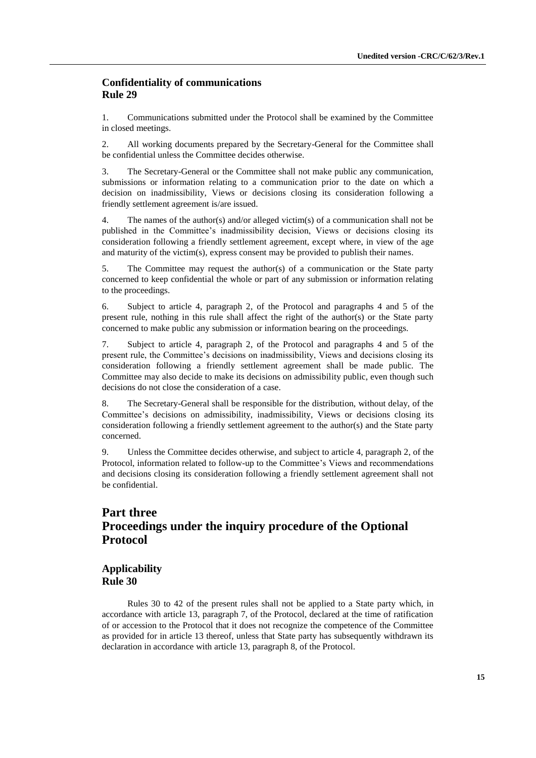### **Confidentiality of communications Rule 29**

1. Communications submitted under the Protocol shall be examined by the Committee in closed meetings.

2. All working documents prepared by the Secretary-General for the Committee shall be confidential unless the Committee decides otherwise.

3. The Secretary-General or the Committee shall not make public any communication, submissions or information relating to a communication prior to the date on which a decision on inadmissibility, Views or decisions closing its consideration following a friendly settlement agreement is/are issued.

4. The names of the author(s) and/or alleged victim(s) of a communication shall not be published in the Committee's inadmissibility decision, Views or decisions closing its consideration following a friendly settlement agreement, except where, in view of the age and maturity of the victim(s), express consent may be provided to publish their names.

5. The Committee may request the author(s) of a communication or the State party concerned to keep confidential the whole or part of any submission or information relating to the proceedings.

6. Subject to article 4, paragraph 2, of the Protocol and paragraphs 4 and 5 of the present rule, nothing in this rule shall affect the right of the author(s) or the State party concerned to make public any submission or information bearing on the proceedings.

7. Subject to article 4, paragraph 2, of the Protocol and paragraphs 4 and 5 of the present rule, the Committee's decisions on inadmissibility, Views and decisions closing its consideration following a friendly settlement agreement shall be made public. The Committee may also decide to make its decisions on admissibility public, even though such decisions do not close the consideration of a case.

8. The Secretary-General shall be responsible for the distribution, without delay, of the Committee's decisions on admissibility, inadmissibility, Views or decisions closing its consideration following a friendly settlement agreement to the author(s) and the State party concerned.

9. Unless the Committee decides otherwise, and subject to article 4, paragraph 2, of the Protocol, information related to follow-up to the Committee's Views and recommendations and decisions closing its consideration following a friendly settlement agreement shall not be confidential.

# **Part three Proceedings under the inquiry procedure of the Optional Protocol**

### **Applicability Rule 30**

Rules 30 to 42 of the present rules shall not be applied to a State party which, in accordance with article 13, paragraph 7, of the Protocol, declared at the time of ratification of or accession to the Protocol that it does not recognize the competence of the Committee as provided for in article 13 thereof, unless that State party has subsequently withdrawn its declaration in accordance with article 13, paragraph 8, of the Protocol.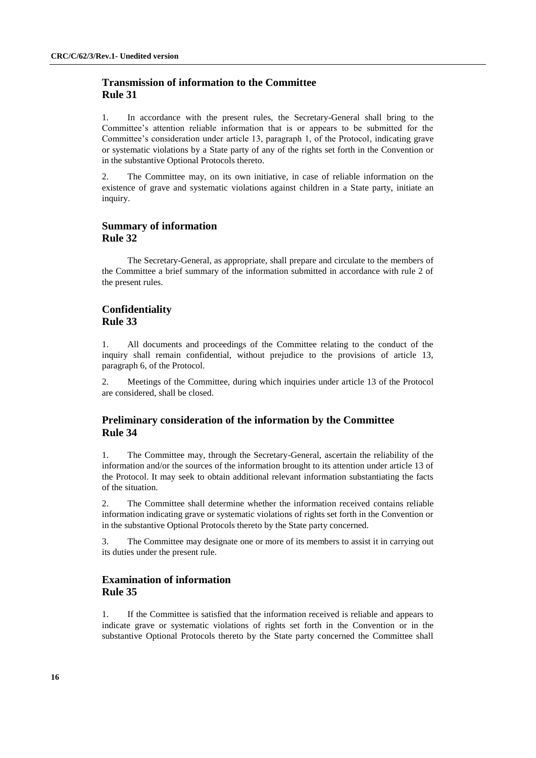### **Transmission of information to the Committee Rule 31**

1. In accordance with the present rules, the Secretary-General shall bring to the Committee's attention reliable information that is or appears to be submitted for the Committee's consideration under article 13, paragraph 1, of the Protocol, indicating grave or systematic violations by a State party of any of the rights set forth in the Convention or in the substantive Optional Protocols thereto.

2. The Committee may, on its own initiative, in case of reliable information on the existence of grave and systematic violations against children in a State party, initiate an inquiry.

#### **Summary of information Rule 32**

The Secretary-General, as appropriate, shall prepare and circulate to the members of the Committee a brief summary of the information submitted in accordance with rule 2 of the present rules.

### **Confidentiality Rule 33**

1. All documents and proceedings of the Committee relating to the conduct of the inquiry shall remain confidential, without prejudice to the provisions of article 13, paragraph 6, of the Protocol.

2. Meetings of the Committee, during which inquiries under article 13 of the Protocol are considered, shall be closed.

### **Preliminary consideration of the information by the Committee Rule 34**

1. The Committee may, through the Secretary-General, ascertain the reliability of the information and/or the sources of the information brought to its attention under article 13 of the Protocol. It may seek to obtain additional relevant information substantiating the facts of the situation.

2. The Committee shall determine whether the information received contains reliable information indicating grave or systematic violations of rights set forth in the Convention or in the substantive Optional Protocols thereto by the State party concerned.

3. The Committee may designate one or more of its members to assist it in carrying out its duties under the present rule.

### **Examination of information Rule 35**

1. If the Committee is satisfied that the information received is reliable and appears to indicate grave or systematic violations of rights set forth in the Convention or in the substantive Optional Protocols thereto by the State party concerned the Committee shall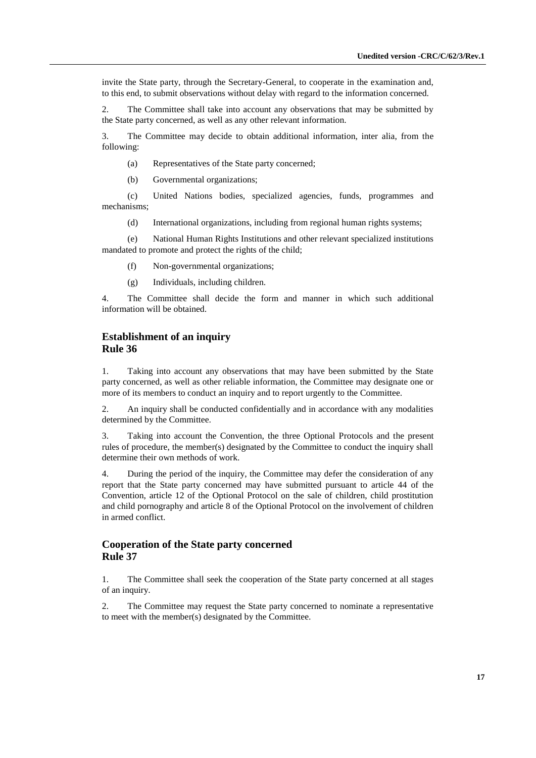invite the State party, through the Secretary-General, to cooperate in the examination and, to this end, to submit observations without delay with regard to the information concerned.

2. The Committee shall take into account any observations that may be submitted by the State party concerned, as well as any other relevant information.

3. The Committee may decide to obtain additional information, inter alia, from the following:

(a) Representatives of the State party concerned;

(b) Governmental organizations;

(c) United Nations bodies, specialized agencies, funds, programmes and mechanisms;

(d) International organizations, including from regional human rights systems;

(e) National Human Rights Institutions and other relevant specialized institutions mandated to promote and protect the rights of the child;

- (f) Non-governmental organizations;
- (g) Individuals, including children.

4. The Committee shall decide the form and manner in which such additional information will be obtained.

#### **Establishment of an inquiry Rule 36**

1. Taking into account any observations that may have been submitted by the State party concerned, as well as other reliable information, the Committee may designate one or more of its members to conduct an inquiry and to report urgently to the Committee.

2. An inquiry shall be conducted confidentially and in accordance with any modalities determined by the Committee.

3. Taking into account the Convention, the three Optional Protocols and the present rules of procedure, the member(s) designated by the Committee to conduct the inquiry shall determine their own methods of work.

4. During the period of the inquiry, the Committee may defer the consideration of any report that the State party concerned may have submitted pursuant to article 44 of the Convention, article 12 of the Optional Protocol on the sale of children, child prostitution and child pornography and article 8 of the Optional Protocol on the involvement of children in armed conflict.

### **Cooperation of the State party concerned Rule 37**

1. The Committee shall seek the cooperation of the State party concerned at all stages of an inquiry.

2. The Committee may request the State party concerned to nominate a representative to meet with the member(s) designated by the Committee.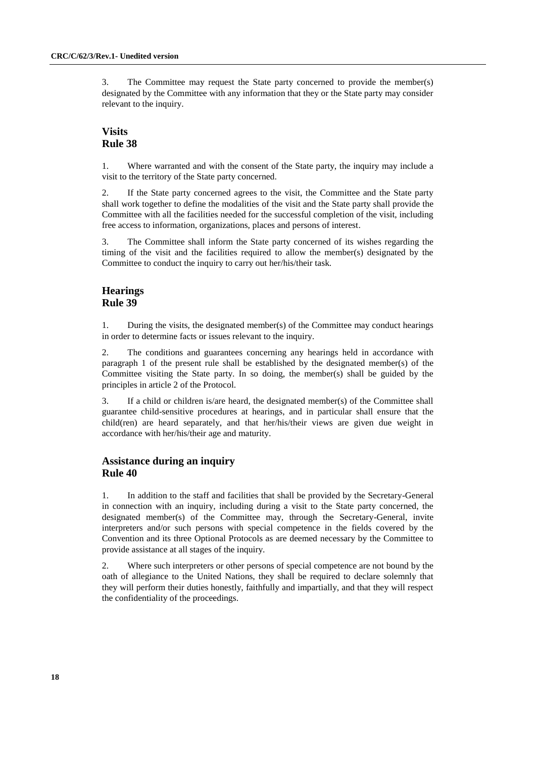3. The Committee may request the State party concerned to provide the member(s) designated by the Committee with any information that they or the State party may consider relevant to the inquiry.

### **Visits Rule 38**

1. Where warranted and with the consent of the State party, the inquiry may include a visit to the territory of the State party concerned.

2. If the State party concerned agrees to the visit, the Committee and the State party shall work together to define the modalities of the visit and the State party shall provide the Committee with all the facilities needed for the successful completion of the visit, including free access to information, organizations, places and persons of interest.

3. The Committee shall inform the State party concerned of its wishes regarding the timing of the visit and the facilities required to allow the member(s) designated by the Committee to conduct the inquiry to carry out her/his/their task.

### **Hearings Rule 39**

1. During the visits, the designated member(s) of the Committee may conduct hearings in order to determine facts or issues relevant to the inquiry.

2. The conditions and guarantees concerning any hearings held in accordance with paragraph 1 of the present rule shall be established by the designated member(s) of the Committee visiting the State party. In so doing, the member(s) shall be guided by the principles in article 2 of the Protocol.

3. If a child or children is/are heard, the designated member(s) of the Committee shall guarantee child-sensitive procedures at hearings, and in particular shall ensure that the child(ren) are heard separately, and that her/his/their views are given due weight in accordance with her/his/their age and maturity.

### **Assistance during an inquiry Rule 40**

1. In addition to the staff and facilities that shall be provided by the Secretary-General in connection with an inquiry, including during a visit to the State party concerned, the designated member(s) of the Committee may, through the Secretary-General, invite interpreters and/or such persons with special competence in the fields covered by the Convention and its three Optional Protocols as are deemed necessary by the Committee to provide assistance at all stages of the inquiry.

2. Where such interpreters or other persons of special competence are not bound by the oath of allegiance to the United Nations, they shall be required to declare solemnly that they will perform their duties honestly, faithfully and impartially, and that they will respect the confidentiality of the proceedings.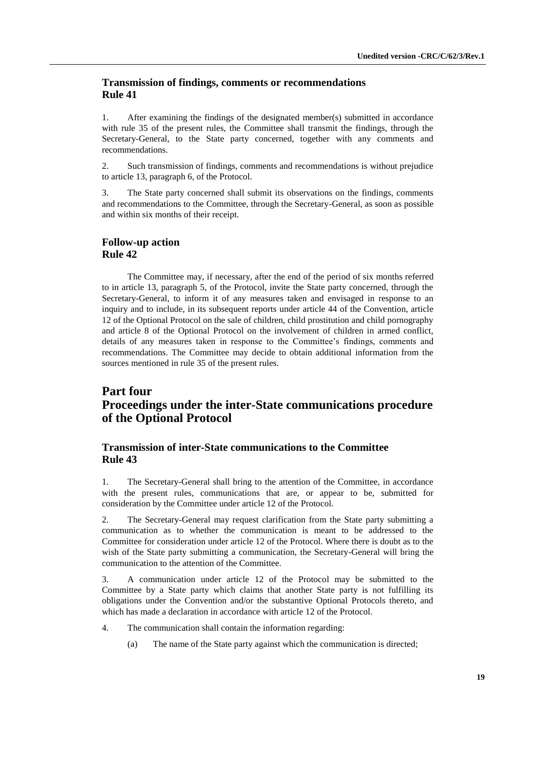### **Transmission of findings, comments or recommendations Rule 41**

1. After examining the findings of the designated member(s) submitted in accordance with rule 35 of the present rules, the Committee shall transmit the findings, through the Secretary-General, to the State party concerned, together with any comments and recommendations.

2. Such transmission of findings, comments and recommendations is without prejudice to article 13, paragraph 6, of the Protocol.

3. The State party concerned shall submit its observations on the findings, comments and recommendations to the Committee, through the Secretary-General, as soon as possible and within six months of their receipt.

#### **Follow-up action Rule 42**

The Committee may, if necessary, after the end of the period of six months referred to in article 13, paragraph 5, of the Protocol, invite the State party concerned, through the Secretary-General, to inform it of any measures taken and envisaged in response to an inquiry and to include, in its subsequent reports under article 44 of the Convention, article 12 of the Optional Protocol on the sale of children, child prostitution and child pornography and article 8 of the Optional Protocol on the involvement of children in armed conflict, details of any measures taken in response to the Committee's findings, comments and recommendations. The Committee may decide to obtain additional information from the sources mentioned in rule 35 of the present rules.

# **Part four Proceedings under the inter-State communications procedure of the Optional Protocol**

### **Transmission of inter-State communications to the Committee Rule 43**

1. The Secretary-General shall bring to the attention of the Committee, in accordance with the present rules, communications that are, or appear to be, submitted for consideration by the Committee under article 12 of the Protocol.

2. The Secretary-General may request clarification from the State party submitting a communication as to whether the communication is meant to be addressed to the Committee for consideration under article 12 of the Protocol. Where there is doubt as to the wish of the State party submitting a communication, the Secretary-General will bring the communication to the attention of the Committee.

3. A communication under article 12 of the Protocol may be submitted to the Committee by a State party which claims that another State party is not fulfilling its obligations under the Convention and/or the substantive Optional Protocols thereto, and which has made a declaration in accordance with article 12 of the Protocol.

- 4. The communication shall contain the information regarding:
	- (a) The name of the State party against which the communication is directed;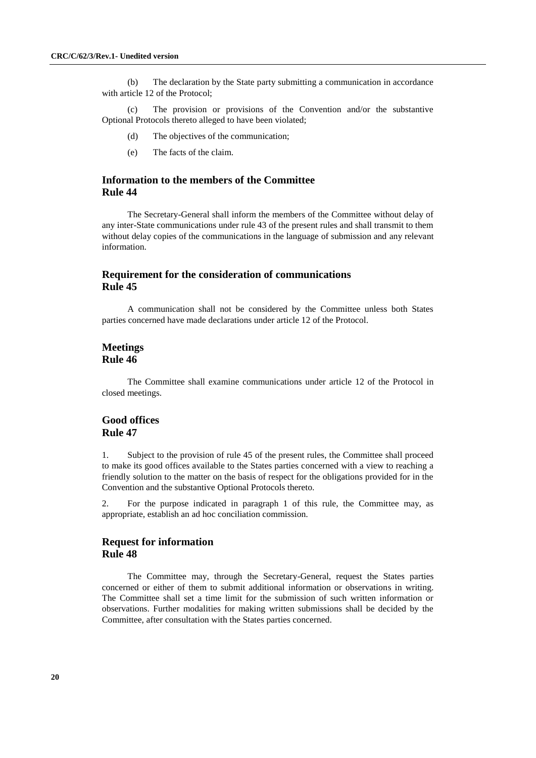(b) The declaration by the State party submitting a communication in accordance with article 12 of the Protocol;

(c) The provision or provisions of the Convention and/or the substantive Optional Protocols thereto alleged to have been violated;

- (d) The objectives of the communication;
- (e) The facts of the claim.

### **Information to the members of the Committee Rule 44**

The Secretary-General shall inform the members of the Committee without delay of any inter-State communications under rule 43 of the present rules and shall transmit to them without delay copies of the communications in the language of submission and any relevant information.

### **Requirement for the consideration of communications Rule 45**

A communication shall not be considered by the Committee unless both States parties concerned have made declarations under article 12 of the Protocol.

#### **Meetings Rule 46**

The Committee shall examine communications under article 12 of the Protocol in closed meetings.

### **Good offices Rule 47**

1. Subject to the provision of rule 45 of the present rules, the Committee shall proceed to make its good offices available to the States parties concerned with a view to reaching a friendly solution to the matter on the basis of respect for the obligations provided for in the Convention and the substantive Optional Protocols thereto.

2. For the purpose indicated in paragraph 1 of this rule, the Committee may, as appropriate, establish an ad hoc conciliation commission.

### **Request for information Rule 48**

The Committee may, through the Secretary-General, request the States parties concerned or either of them to submit additional information or observations in writing. The Committee shall set a time limit for the submission of such written information or observations. Further modalities for making written submissions shall be decided by the Committee, after consultation with the States parties concerned.